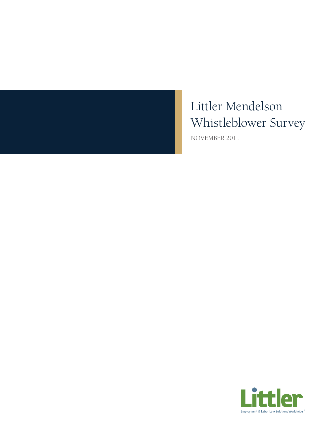

Littler Mendelson Whistleblower Survey NOVEMBER 2011

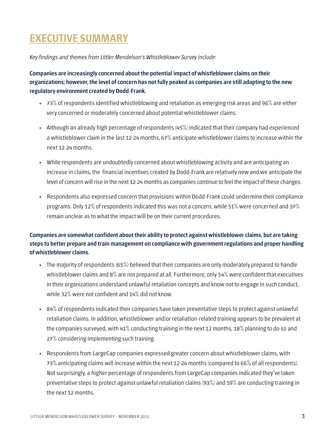# EXECUTIVE SUMMARY

*Key findings and themes from Littler Mendelson's Whistleblower Survey include:*

Companies are increasingly concerned about the potential impact of whistleblower claims on their organizations; however, the level of concern has not fully peaked as companies are still adapting to the new regulatory environment created by Dodd-Frank.

- **•** 73% of respondents identified whistleblowing and retaliation as emerging risk areas and 96% are either very concerned or moderately concerned about potential whistleblower claims.
- **•** Although an already high percentage of respondents (45%) indicated that their company had experienced a whistleblower claim in the last 12-24 months, 67% anticipate whistleblower claims to increase within the next 12-24 months.
- **•** While respondents are undoubtedly concerned about whistleblowing activity and are anticipating an increase in claims, the financial incentives created by Dodd-Frank are relatively new and we anticipate the level of concern will rise in the next 12-24 months as companies continue to feel the impact of these changes.
- **•** Respondents also expressed concern that provisions within Dodd-Frank could undermine their compliance programs. Only 12% of respondents indicated this was not a concern, while 51% were concerned and 37% remain unclear as to what the impact will be on their current procedures.

Companies are somewhat confident about their ability to protect against whistleblower claims, but are taking steps to better prepare and train management on compliance with government regulations and proper handling of whistleblower claims.

- **•** The majority of respondents (65%) believed that their companies are only moderately prepared to handle whistleblower claims and 8% are not prepared at all. Furthermore, only 54% were confident that executives in their organizations understand unlawful retaliation concepts and know not to engage in such conduct, while 32% were not confident and 14% did not know.
- **•** 84% of respondents indicated their companies have taken preventative steps to protect against unlawful retaliation claims. In addition, whistleblower and/or retaliation-related training appears to be prevalent at the companies surveyed, with 41% conducting training in the next 12 months, 18% planning to do so and 27% considering implementing such training.
- **•** Respondents from LargeCap companies expressed greater concern about whistleblower claims, with 73% anticipating claims will increase within the next 12-24 months (compared to 66% of all respondents). Not surprisingly, a higher percentage of respondents from LargeCap companies indicated they've taken preventative steps to protect against unlawful retaliation claims (93%) and 59% are conducting training in the next 12 months.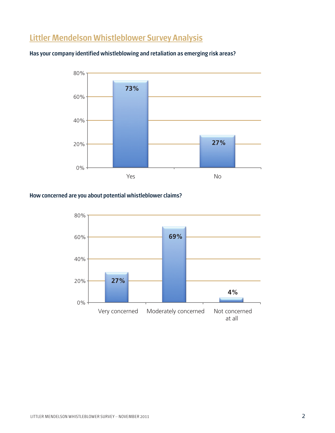## Littler Mendelson Whistleblower Survey Analysis

#### Has your company identified whistleblowing and retaliation as emerging risk areas?



#### How concerned are you about potential whistleblower claims?

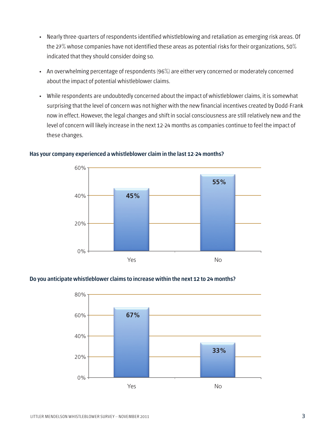- **•** Nearly three-quarters of respondents identified whistleblowing and retaliation as emerging risk areas. Of the 27% whose companies have not identified these areas as potential risks for their organizations, 50% indicated that they should consider doing so.
- **•** An overwhelming percentage of respondents (96%) are either very concerned or moderately concerned about the impact of potential whistleblower claims.
- **•** While respondents are undoubtedly concerned about the impact of whistleblower claims, it is somewhat surprising that the level of concern was not higher with the new financial incentives created by Dodd-Frank now in effect. However, the legal changes and shift in social consciousness are still relatively new and the level of concern will likely increase in the next 12-24 months as companies continue to feel the impact of these changes.



#### Has your company experienced a whistleblower claim in the last 12-24 months?

#### Do you anticipate whistleblower claims to increase within the next 12 to 24 months?

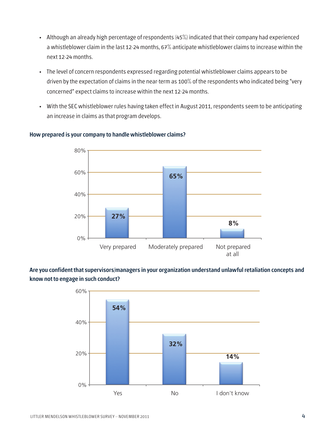- **•** Although an already high percentage of respondents (45%) indicated that their company had experienced a whistleblower claim in the last 12-24 months, 67% anticipate whistleblower claims to increase within the next 12-24 months.
- **•** The level of concern respondents expressed regarding potential whistleblower claims appears to be driven by the expectation of claims in the near-term as 100% of the respondents who indicated being "very concerned" expect claims to increase within the next 12-24 months.
- **•** With the SEC whistleblower rules having taken effect in August 2011, respondents seem to be anticipating an increase in claims as that program develops.



#### How prepared is your company to handle whistleblower claims?

### Are you confident that supervisors/managers in your organization understand unlawful retaliation concepts and know not to engage in such conduct?

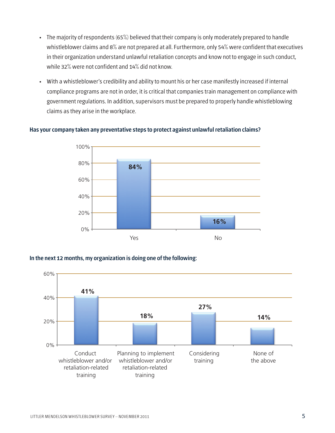- **•** The majority of respondents (65%) believed that their company is only moderately prepared to handle whistleblower claims and 8% are not prepared at all. Furthermore, only 54% were confident that executives in their organization understand unlawful retaliation concepts and know not to engage in such conduct, while 32% were not confident and 14% did not know.
- **•** With a whistleblower's credibility and ability to mount his or her case manifestly increased if internal compliance programs are not in order, it is critical that companies train management on compliance with government regulations. In addition, supervisors must be prepared to properly handle whistleblowing claims as they arise in the workplace.

#### Has your company taken any preventative steps to protect against unlawful retaliation claims?



#### In the next 12 months, my organization is doing one of the following:

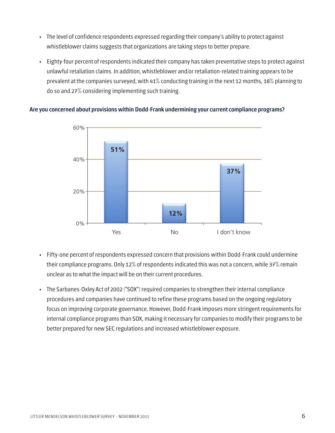- **•** The level of confidence respondents expressed regarding their company's ability to protect against whistleblower claims suggests that organizations are taking steps to better prepare.
- **•** Eighty-four percent of respondents indicated their company has taken preventative steps to protect against unlawful retaliation claims. In addition, whistleblower and/or retaliation-related training appears to be prevalent at the companies surveyed, with 41% conducting training in the next 12 months, 18% planning to do so and 27% considering implementing such training.

#### Are you concerned about provisions within Dodd-Frank undermining your current compliance programs?



- **•** Fifty-one percent of respondents expressed concern that provisions within Dodd-Frank could undermine their compliance programs. Only 12% of respondents indicated this was not a concern, while 37% remain unclear as to what the impact will be on their current procedures.
- **•** The Sarbanes-Oxley Act of 2002 ("SOX") required companies to strengthen their internal compliance procedures and companies have continued to refine these programs based on the ongoing regulatory focus on improving corporate governance. However, Dodd-Frank imposes more stringent requirements for internal compliance programs than SOX, making it necessary for companies to modify their programs to be better prepared for new SEC regulations and increased whistleblower exposure.